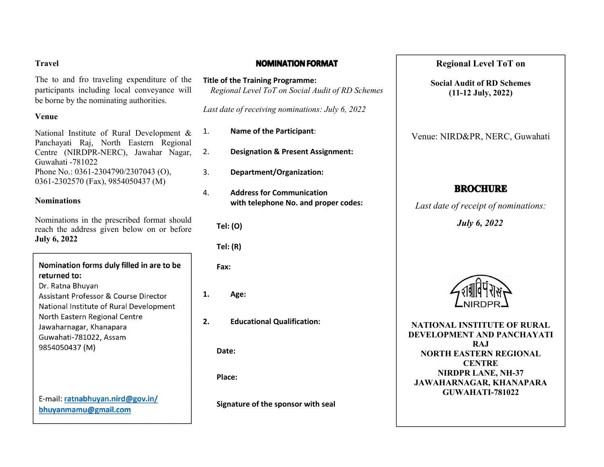#### **Travel**

The to and fro traveling expenditure of the participants including local conveyance will be borne by the nominating authorities.

## **Venue**

National Institute of Rural Development & Panchayati Raj, North Eastern Regional Centre (NIRDPR-NERC), Jawahar Nagar, Guwahati -781022 Phone No.: 0361-2304790/2307043 (O), 0361-2302570 (Fax), 9854050437 (M)

## **Nominations**

Nominations in the prescribed format should reach the address given below on or before **July 6, 2022**

Nomination forms duly filled in are to be returned to: Dr. Ratna Bhuyan Assistant Professor & Course Director National Institute of Rural Development North Eastern Regional Centre Jawaharnagar, Khanapara Guwahati-781022, Assam 9854050437 (M)

E-mail: ratnabhuyan.nird@gov.in/ bhuyanmamu@gmail.com

## **NOMINATION FORMAT**

**Title of the Training Programme:** *Regional Level ToT on Social Audit of RD Schemes*

*Last date of receiving nominations: July 6, 2022*

- 1. **Name of the Participant**:
- 2. **Designation & Present Assignment:**
- 3. **Department/Organization:**
- 4. **Address for Communication with telephone No. and proper codes:**

**Tel: (O)**

**Tel: (R)**

**Fax:**

**1. Age:**

**2. Educational Qualification:**

**Date:**

**Place:**

**Signature of the sponsor with seal**

# **Regional Level ToT on**

**Social Audit of RD Schemes (11-12 July, 2022)**

Venue: NIRD&PR, NERC, Guwahati

# **BROCHURE**

*Last date of receipt of nominations:*

*July 6, 2022*



**NATIONAL INSTITUTE OF RURAL DEVELOPMENT AND PANCHAYATI RAJ NORTH EASTERN REGIONAL CENTRE NIRDPR LANE, NH-37 JAWAHARNAGAR, KHANAPARA GUWAHATI-781022**